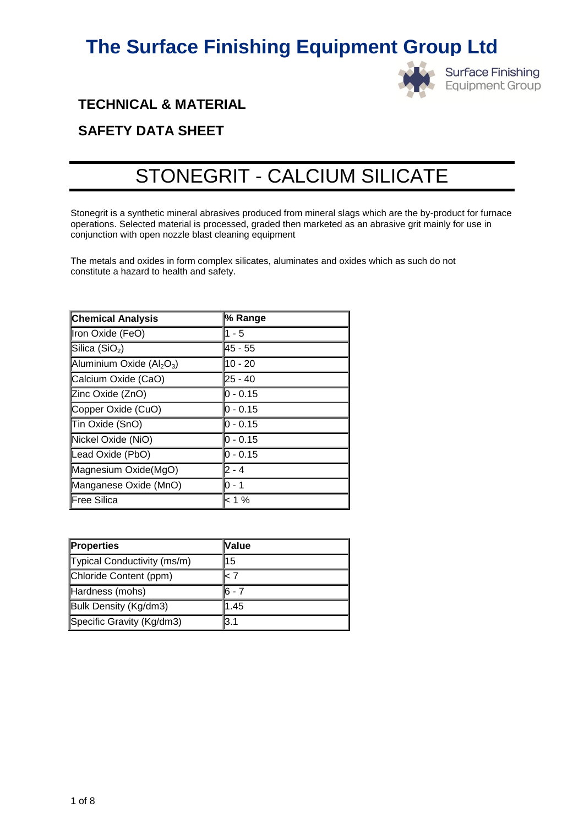

# **TECHNICAL & MATERIAL**

# **SAFETY DATA SHEET**

# STONEGRIT - CALCIUM SILICATE

Stonegrit is a synthetic mineral abrasives produced from mineral slags which are the by-product for furnace operations. Selected material is processed, graded then marketed as an abrasive grit mainly for use in conjunction with open nozzle blast cleaning equipment

The metals and oxides in form complex silicates, aluminates and oxides which as such do not constitute a hazard to health and safety.

| <b>Chemical Analysis</b>  | % Range     |
|---------------------------|-------------|
| Iron Oxide (FeO)          | 1 - 5       |
| Silica $(SiO2)$           | 45 - 55     |
| Aluminium Oxide $(Al2O3)$ | $10 - 20$   |
| Calcium Oxide (CaO)       | $25 - 40$   |
| Zinc Oxide (ZnO)          | $0 - 0.15$  |
| Copper Oxide (CuO)        | lo - 0.15   |
| Tin Oxide (SnO)           | l0 - 0.15   |
| Nickel Oxide (NiO)        | $ 0 - 0.15$ |
| Lead Oxide (PbO)          | $ 0 - 0.15$ |
| Magnesium Oxide(MgO)      | $2 - 4$     |
| Manganese Oxide (MnO)     | l0 - 1      |
| Free Silica               | < 1 %       |

| <b>Properties</b>           | <b>Nalue</b> |
|-----------------------------|--------------|
| Typical Conductivity (ms/m) | 115          |
| Chloride Content (ppm)      | 7 >          |
| Hardness (mohs)             | 16 - 7       |
| Bulk Density (Kg/dm3)       | 1.45         |
| Specific Gravity (Kg/dm3)   | 3.1          |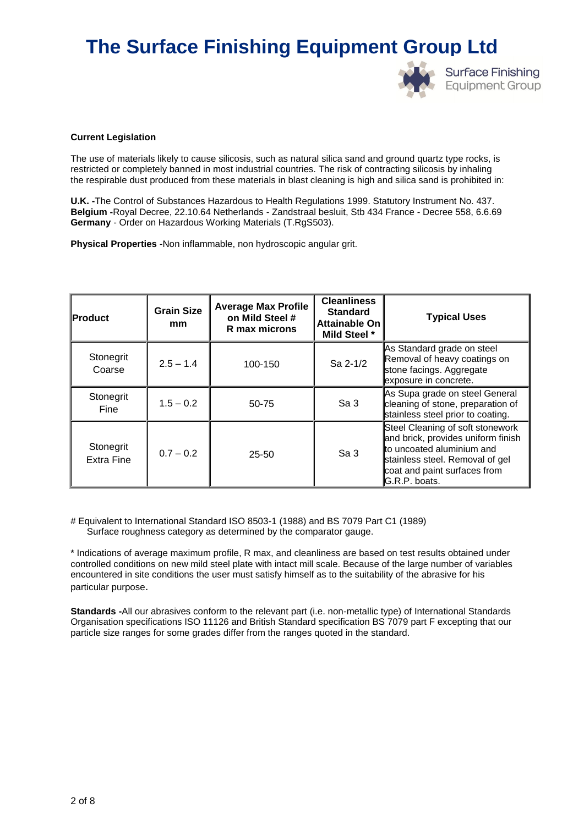

#### **Current Legislation**

The use of materials likely to cause silicosis, such as natural silica sand and ground quartz type rocks, is restricted or completely banned in most industrial countries. The risk of contracting silicosis by inhaling the respirable dust produced from these materials in blast cleaning is high and silica sand is prohibited in:

**U.K. -**The Control of Substances Hazardous to Health Regulations 1999. Statutory Instrument No. 437. **Belgium -**Royal Decree, 22.10.64 Netherlands - Zandstraal besluit, Stb 434 France - Decree 558, 6.6.69 **Germany** - Order on Hazardous Working Materials (T.RgS503).

**Physical Properties** -Non inflammable, non hydroscopic angular grit.

| <b>IProduct</b>         | <b>Grain Size</b><br>mm | <b>Average Max Profile</b><br>on Mild Steel #<br>R max microns | <b>Cleanliness</b><br><b>Standard</b><br>Attainable On<br>Mild Steel * | <b>Typical Uses</b>                                                                                                                                                                     |
|-------------------------|-------------------------|----------------------------------------------------------------|------------------------------------------------------------------------|-----------------------------------------------------------------------------------------------------------------------------------------------------------------------------------------|
| Stonegrit<br>Coarse     | $2.5 - 1.4$             | 100-150                                                        | Sa 2-1/2                                                               | As Standard grade on steel<br>Removal of heavy coatings on<br>stone facings. Aggregate<br>exposure in concrete.                                                                         |
| Stonegrit<br>Fine       | $1.5 - 0.2$             | 50-75                                                          | Sa <sub>3</sub>                                                        | As Supa grade on steel General<br>cleaning of stone, preparation of<br>stainless steel prior to coating.                                                                                |
| Stonegrit<br>Extra Fine | $0.7 - 0.2$             | $25 - 50$                                                      | Sa <sub>3</sub>                                                        | Steel Cleaning of soft stonework<br>and brick, provides uniform finish<br>to uncoated aluminium and<br>stainless steel. Removal of gel<br>coat and paint surfaces from<br>G.R.P. boats. |

# Equivalent to International Standard ISO 8503-1 (1988) and BS 7079 Part C1 (1989) Surface roughness category as determined by the comparator gauge.

\* Indications of average maximum profile, R max, and cleanliness are based on test results obtained under controlled conditions on new mild steel plate with intact mill scale. Because of the large number of variables encountered in site conditions the user must satisfy himself as to the suitability of the abrasive for his particular purpose.

**Standards -**All our abrasives conform to the relevant part (i.e. non-metallic type) of International Standards Organisation specifications ISO 11126 and British Standard specification BS 7079 part F excepting that our particle size ranges for some grades differ from the ranges quoted in the standard.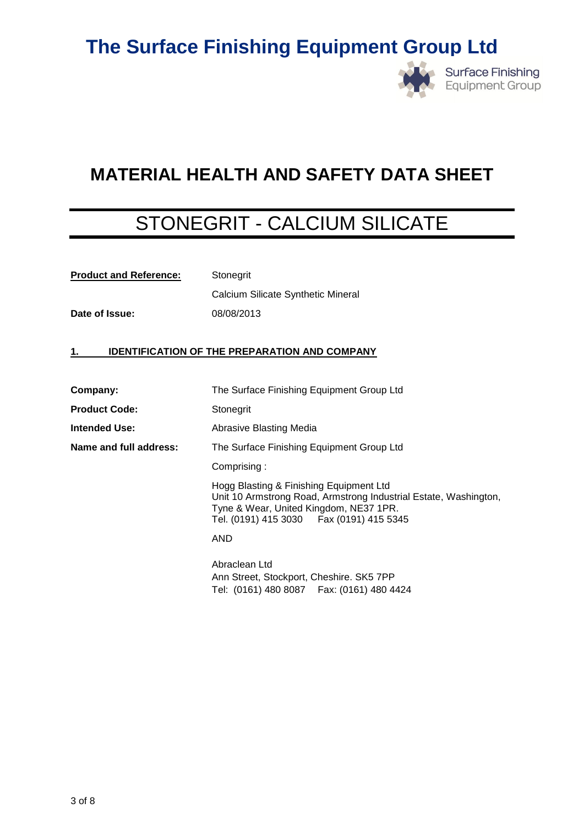

# **MATERIAL HEALTH AND SAFETY DATA SHEET**

# STONEGRIT - CALCIUM SILICATE

| <b>Product and Reference:</b> | Stonegrit |  |  |  |
|-------------------------------|-----------|--|--|--|
|                               |           |  |  |  |

**Date of Issue:** 08/08/2013

Calcium Silicate Synthetic Mineral

# **1. IDENTIFICATION OF THE PREPARATION AND COMPANY**

| Company:               | The Surface Finishing Equipment Group Ltd                                                                                                                                                           |
|------------------------|-----------------------------------------------------------------------------------------------------------------------------------------------------------------------------------------------------|
| <b>Product Code:</b>   | Stonegrit                                                                                                                                                                                           |
| Intended Use:          | Abrasive Blasting Media                                                                                                                                                                             |
| Name and full address: | The Surface Finishing Equipment Group Ltd                                                                                                                                                           |
|                        | Comprising:                                                                                                                                                                                         |
|                        | Hogg Blasting & Finishing Equipment Ltd<br>Unit 10 Armstrong Road, Armstrong Industrial Estate, Washington,<br>Tyne & Wear, United Kingdom, NE37 1PR.<br>Tel. (0191) 415 3030   Fax (0191) 415 5345 |
|                        | AND                                                                                                                                                                                                 |
|                        | Abraclean Ltd<br>Ann Street, Stockport, Cheshire. SK5 7PP<br>Tel: (0161) 480 8087  Fax: (0161) 480 4424                                                                                             |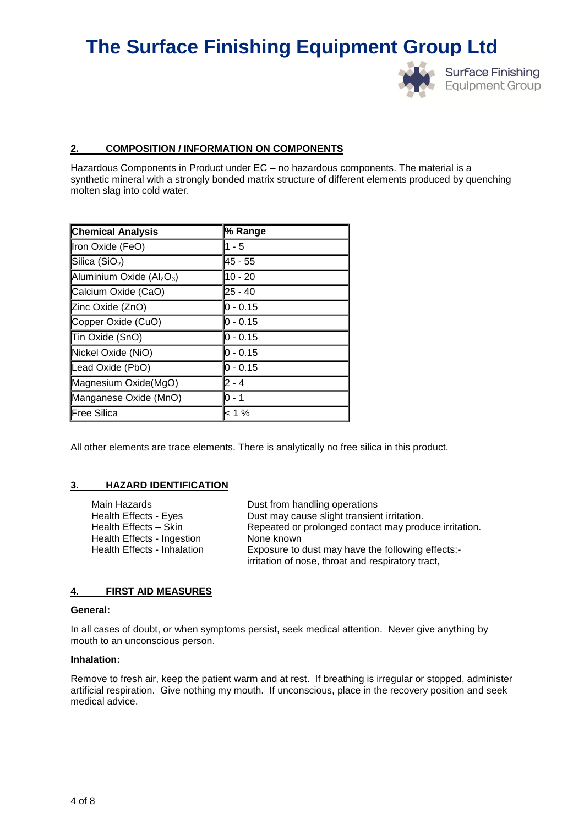

#### **2. COMPOSITION / INFORMATION ON COMPONENTS**

Hazardous Components in Product under EC – no hazardous components. The material is a synthetic mineral with a strongly bonded matrix structure of different elements produced by quenching molten slag into cold water.

| <b>Chemical Analysis</b>    | % Range          |
|-----------------------------|------------------|
| Iron Oxide (FeO)            | $1 - 5$          |
| Silica (SiO <sub>2</sub> )  | 45 - 55          |
| Aluminium Oxide $(Al_2O_3)$ | $10 - 20$        |
| Calcium Oxide (CaO)         | $25 - 40$        |
| Zinc Oxide (ZnO)            | 0 - 0.15         |
| Copper Oxide (CuO)          | <b>0</b> - 0.15  |
| Tin Oxide (SnO)             | <b>lo</b> - 0.15 |
| Nickel Oxide (NiO)          | 0 - 0.15         |
| Lead Oxide (PbO)            | <b>0</b> - 0.15  |
| Magnesium Oxide(MgO)        | 2 - 4            |
| Manganese Oxide (MnO)       | lo - 1           |
| Free Silica                 | < 1 %            |

All other elements are trace elements. There is analytically no free silica in this product.

# **3. HAZARD IDENTIFICATION**

| Main Hazards                      | Dust from handling operations                                                                          |
|-----------------------------------|--------------------------------------------------------------------------------------------------------|
| Health Effects - Eyes             | Dust may cause slight transient irritation.                                                            |
| Health Effects - Skin             | Repeated or prolonged contact may produce irritation.                                                  |
| <b>Health Effects - Ingestion</b> | None known                                                                                             |
| Health Effects - Inhalation       | Exposure to dust may have the following effects:-<br>irritation of nose, throat and respiratory tract, |

#### **4. FIRST AID MEASURES**

#### **General:**

In all cases of doubt, or when symptoms persist, seek medical attention. Never give anything by mouth to an unconscious person.

#### **Inhalation:**

Remove to fresh air, keep the patient warm and at rest. If breathing is irregular or stopped, administer artificial respiration. Give nothing my mouth. If unconscious, place in the recovery position and seek medical advice.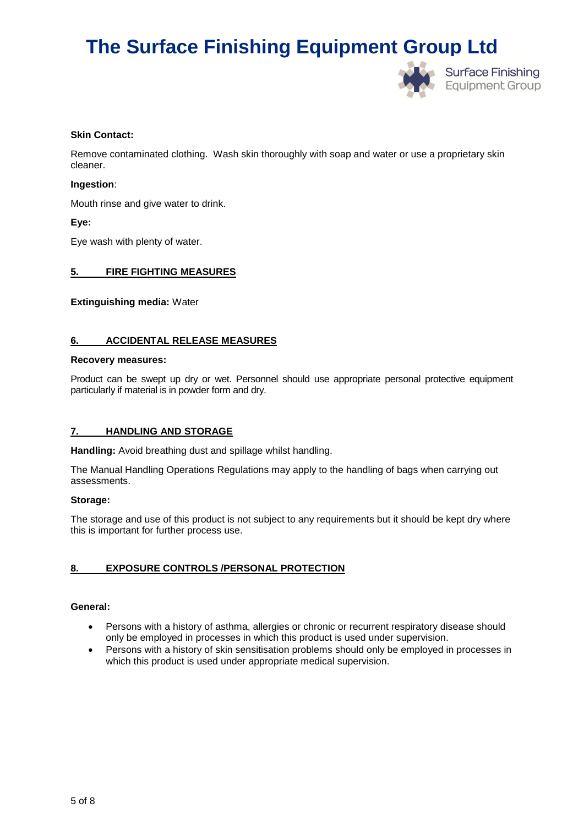

### **Skin Contact:**

Remove contaminated clothing. Wash skin thoroughly with soap and water or use a proprietary skin cleaner.

### **Ingestion**:

Mouth rinse and give water to drink.

# **Eye:**

Eye wash with plenty of water.

# **5. FIRE FIGHTING MEASURES**

**Extinguishing media:** Water

### **6. ACCIDENTAL RELEASE MEASURES**

### **Recovery measures:**

Product can be swept up dry or wet. Personnel should use appropriate personal protective equipment particularly if material is in powder form and dry.

### **7. HANDLING AND STORAGE**

**Handling:** Avoid breathing dust and spillage whilst handling.

The Manual Handling Operations Regulations may apply to the handling of bags when carrying out assessments.

### **Storage:**

The storage and use of this product is not subject to any requirements but it should be kept dry where this is important for further process use.

# **8. EXPOSURE CONTROLS /PERSONAL PROTECTION**

# **General:**

- Persons with a history of asthma, allergies or chronic or recurrent respiratory disease should only be employed in processes in which this product is used under supervision.
- Persons with a history of skin sensitisation problems should only be employed in processes in which this product is used under appropriate medical supervision.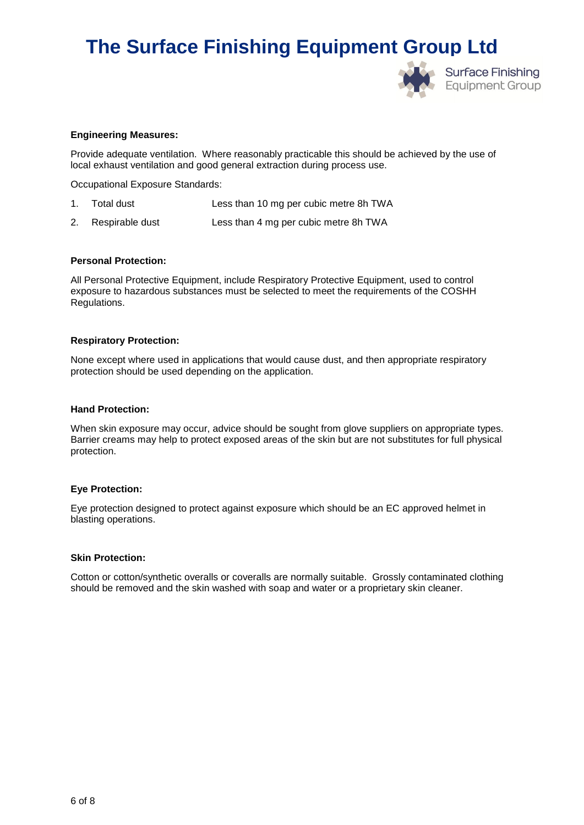

### **Engineering Measures:**

Provide adequate ventilation. Where reasonably practicable this should be achieved by the use of local exhaust ventilation and good general extraction during process use.

Occupational Exposure Standards:

- 1. Total dust Less than 10 mg per cubic metre 8h TWA
- 2. Respirable dust Less than 4 mg per cubic metre 8h TWA

### **Personal Protection:**

All Personal Protective Equipment, include Respiratory Protective Equipment, used to control exposure to hazardous substances must be selected to meet the requirements of the COSHH Regulations.

#### **Respiratory Protection:**

None except where used in applications that would cause dust, and then appropriate respiratory protection should be used depending on the application.

#### **Hand Protection:**

When skin exposure may occur, advice should be sought from glove suppliers on appropriate types. Barrier creams may help to protect exposed areas of the skin but are not substitutes for full physical protection.

### **Eye Protection:**

Eye protection designed to protect against exposure which should be an EC approved helmet in blasting operations.

#### **Skin Protection:**

Cotton or cotton/synthetic overalls or coveralls are normally suitable. Grossly contaminated clothing should be removed and the skin washed with soap and water or a proprietary skin cleaner.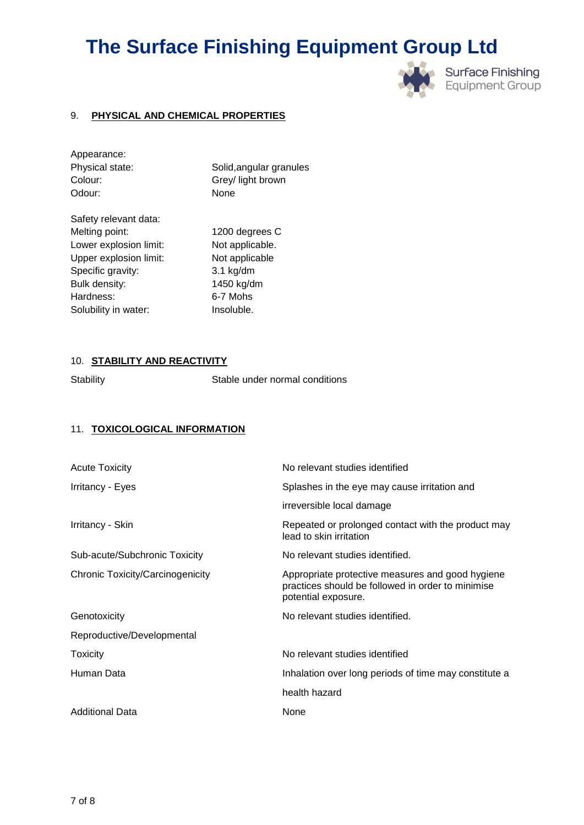

# 9. **PHYSICAL AND CHEMICAL PROPERTIES**

| Appearance:            |                         |
|------------------------|-------------------------|
| Physical state:        | Solid, angular granules |
| Colour:                | Grey/ light brown       |
| Odour:                 | None                    |
| Safety relevant data:  |                         |
| Melting point:         | 1200 degrees C          |
| Lower explosion limit: | Not applicable.         |
| Upper explosion limit: | Not applicable          |
| Specific gravity:      | $3.1$ kg/dm             |
| Bulk density:          | 1450 kg/dm              |
| Hardness:              | 6-7 Mohs                |
| Solubility in water:   | Insoluble.              |
|                        |                         |

# 10. **STABILITY AND REACTIVITY**

Stability Stable under normal conditions

# 11. **TOXICOLOGICAL INFORMATION**

| Acute Toxicity                   | No relevant studies identified                                                                                               |
|----------------------------------|------------------------------------------------------------------------------------------------------------------------------|
| Irritancy - Eyes                 | Splashes in the eye may cause irritation and                                                                                 |
|                                  | irreversible local damage                                                                                                    |
| Irritancy - Skin                 | Repeated or prolonged contact with the product may<br>lead to skin irritation                                                |
| Sub-acute/Subchronic Toxicity    | No relevant studies identified.                                                                                              |
| Chronic Toxicity/Carcinogenicity | Appropriate protective measures and good hygiene<br>practices should be followed in order to minimise<br>potential exposure. |
| Genotoxicity                     | No relevant studies identified.                                                                                              |
| Reproductive/Developmental       |                                                                                                                              |
| <b>Toxicity</b>                  | No relevant studies identified                                                                                               |
| Human Data                       | Inhalation over long periods of time may constitute a                                                                        |
|                                  | health hazard                                                                                                                |
| Additional Data                  | None                                                                                                                         |